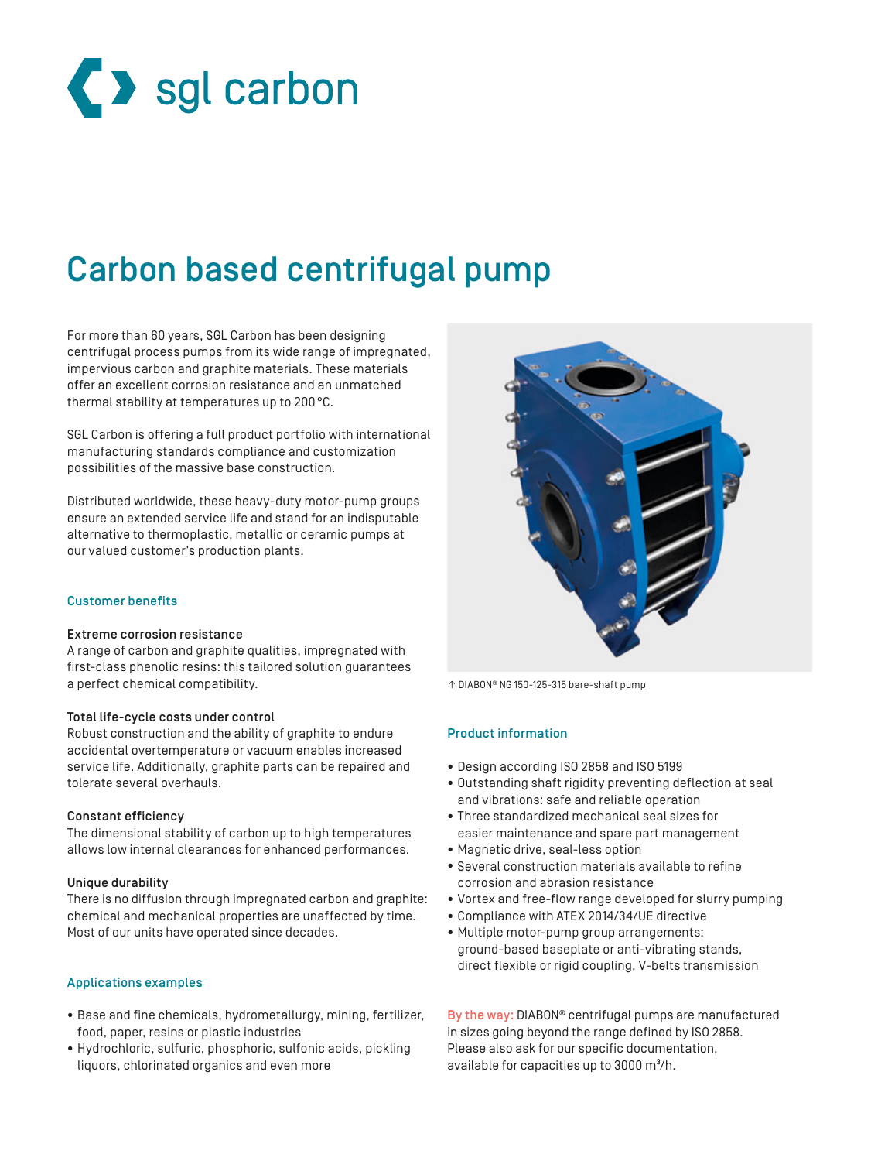

# Carbon based centrifugal pump

For more than 60 years, SGL Carbon has been designing centrifugal process pumps from its wide range of impregnated, impervious carbon and graphite materials. These materials offer an excellent corrosion resistance and an unmatched thermal stability at temperatures up to 200°C.

SGL Carbon is offering a full product portfolio with international manufacturing standards compliance and customization possibilities of the massive base construction.

Distributed worldwide, these heavy-duty motor-pump groups ensure an extended service life and stand for an indisputable alternative to thermoplastic, metallic or ceramic pumps at our valued customer's production plants.

## Customer benefits

## Extreme corrosion resistance

A range of carbon and graphite qualities, impregnated with first-class phenolic resins: this tailored solution guarantees a perfect chemical compatibility.

## Total life-cycle costs under control

Robust construction and the ability of graphite to endure accidental overtemperature or vacuum enables increased service life. Additionally, graphite parts can be repaired and tolerate several overhauls.

#### Constant efficiency

The dimensional stability of carbon up to high temperatures allows low internal clearances for enhanced performances.

#### Unique durability

There is no diffusion through impregnated carbon and graphite: chemical and mechanical properties are unaffected by time. Most of our units have operated since decades.

## Applications examples

- Base and fine chemicals, hydrometallurgy, mining, fertilizer, food, paper, resins or plastic industries
- Hydrochloric, sulfuric, phosphoric, sulfonic acids, pickling liquors, chlorinated organics and even more



↑ DIABON® NG 150-125-315 bare-shaft pump

## Product information

- Design according ISO 2858 and ISO 5199
- Outstanding shaft rigidity preventing deflection at seal and vibrations: safe and reliable operation
- Three standardized mechanical seal sizes for easier maintenance and spare part management
- Magnetic drive, seal-less option
- Several construction materials available to refine corrosion and abrasion resistance
- Vortex and free-flow range developed for slurry pumping
- Compliance with ATEX 2014/34/UE directive
- Multiple motor-pump group arrangements: ground-based baseplate or anti-vibrating stands, direct flexible or rigid coupling, V-belts transmission

By the way: DIABON® centrifugal pumps are manufactured in sizes going beyond the range defined by ISO 2858. Please also ask for our specific documentation, available for capacities up to 3000 m<sup>3</sup>/h.